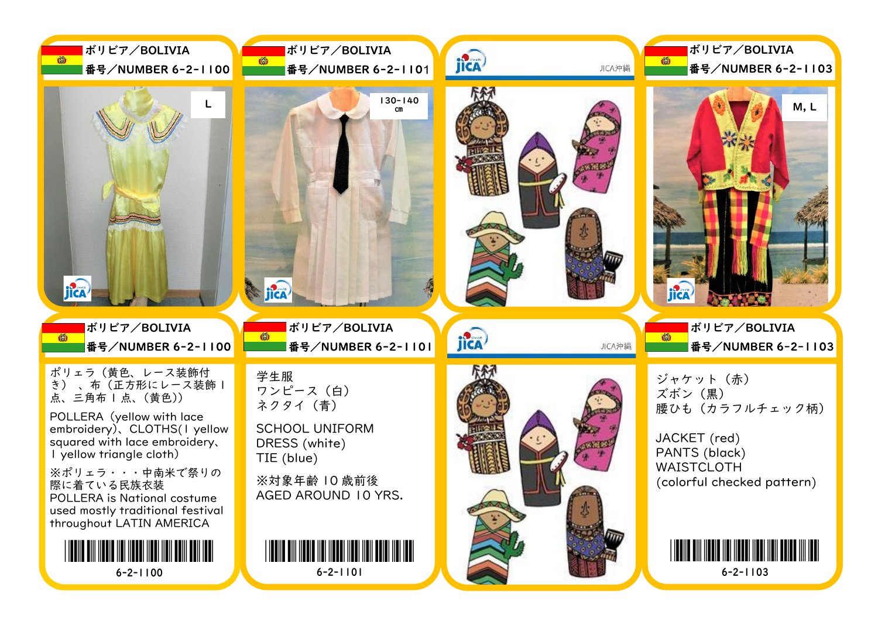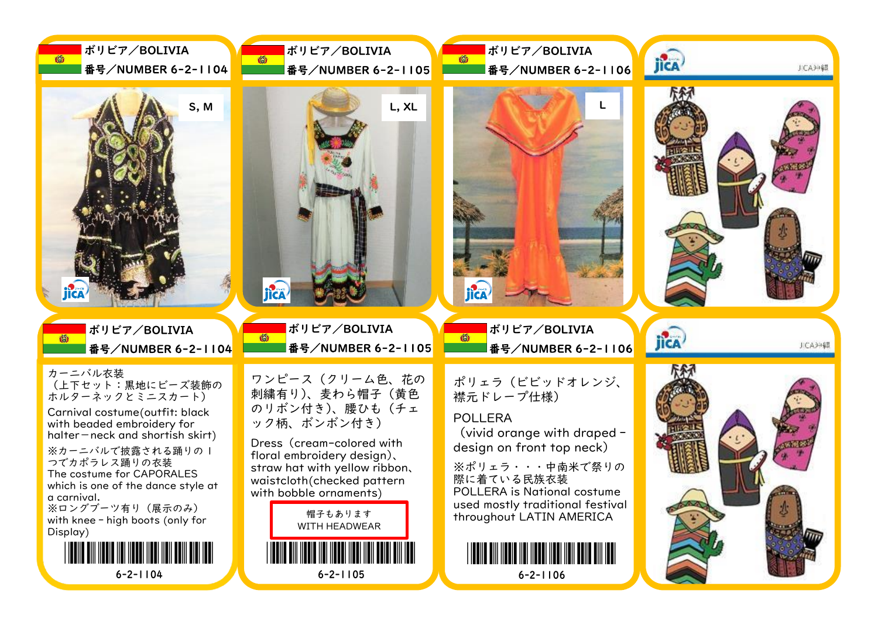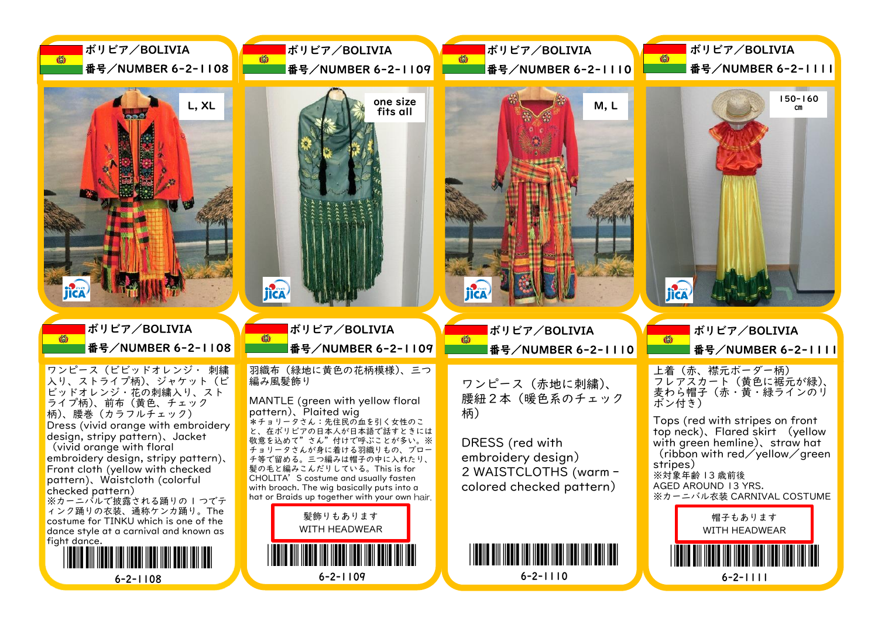